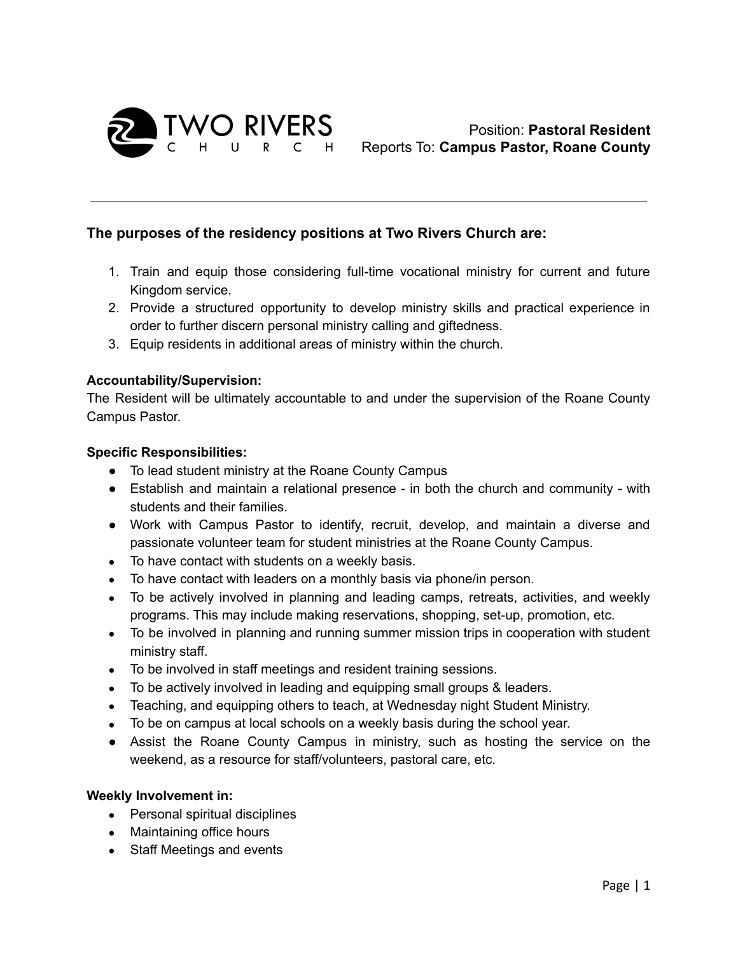

# **The purposes of the residency positions at Two Rivers Church are:**

- 1. Train and equip those considering full-time vocational ministry for current and future Kingdom service.
- 2. Provide a structured opportunity to develop ministry skills and practical experience in order to further discern personal ministry calling and giftedness.
- 3. Equip residents in additional areas of ministry within the church.

## **Accountability/Supervision:**

The Resident will be ultimately accountable to and under the supervision of the Roane County Campus Pastor.

## **Specific Responsibilities:**

- To lead student ministry at the Roane County Campus
- Establish and maintain a relational presence in both the church and community with students and their families.
- Work with Campus Pastor to identify, recruit, develop, and maintain a diverse and passionate volunteer team for student ministries at the Roane County Campus.
- To have contact with students on a weekly basis.
- To have contact with leaders on a monthly basis via phone/in person.
- To be actively involved in planning and leading camps, retreats, activities, and weekly programs. This may include making reservations, shopping, set-up, promotion, etc.
- To be involved in planning and running summer mission trips in cooperation with student ministry staff.
- To be involved in staff meetings and resident training sessions.
- To be actively involved in leading and equipping small groups & leaders.
- Teaching, and equipping others to teach, at Wednesday night Student Ministry.
- To be on campus at local schools on a weekly basis during the school year.
- Assist the Roane County Campus in ministry, such as hosting the service on the weekend, as a resource for staff/volunteers, pastoral care, etc.

## **Weekly Involvement in:**

- Personal spiritual disciplines
- Maintaining office hours
- Staff Meetings and events